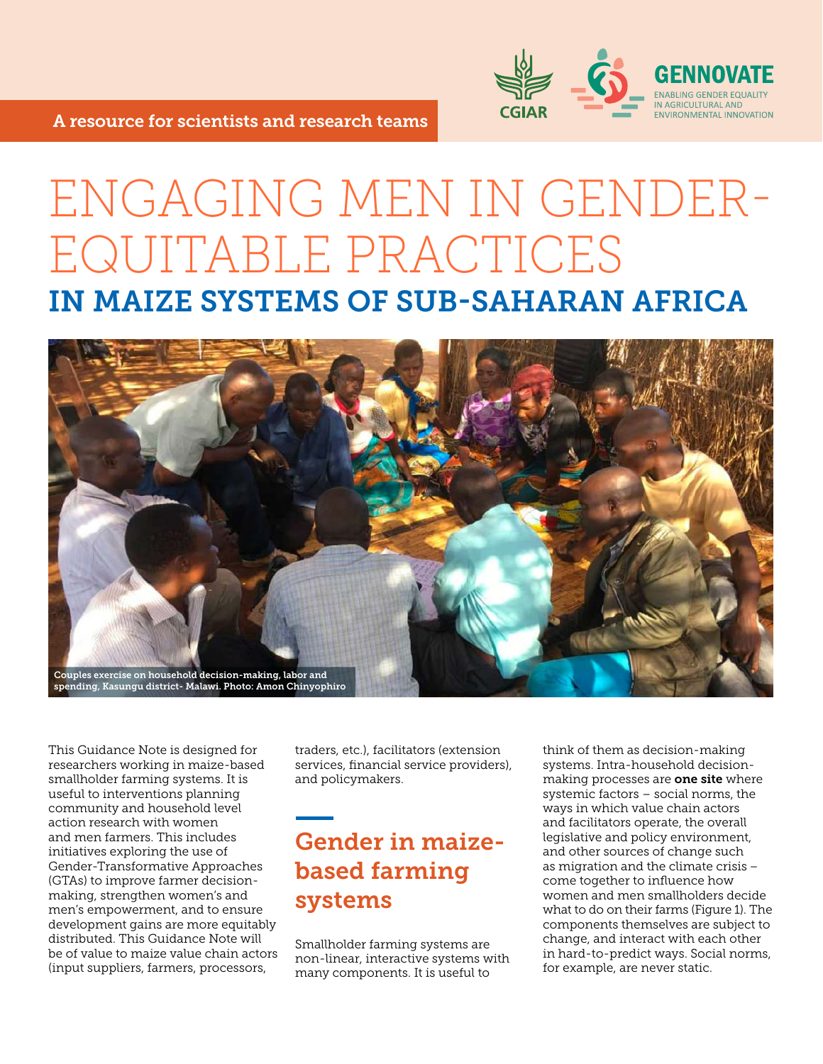

# ENGAGING MEN IN GENDER-EQUITABLE PRACTICES IN MAIZE SYSTEMS OF SUB-SAHARAN AFRICA



This Guidance Note is designed for researchers working in maize-based smallholder farming systems. It is useful to interventions planning community and household level action research with women and men farmers. This includes initiatives exploring the use of Gender-Transformative Approaches (GTAs) to improve farmer decisionmaking, strengthen women's and men's empowerment, and to ensure development gains are more equitably distributed. This Guidance Note will be of value to maize value chain actors (input suppliers, farmers, processors,

traders, etc.), facilitators (extension services, financial service providers), and policymakers.

# Gender in maizebased farming systems

Smallholder farming systems are non-linear, interactive systems with many components. It is useful to

think of them as decision-making systems. Intra-household decisionmaking processes are **one site** where systemic factors – social norms, the ways in which value chain actors and facilitators operate, the overall legislative and policy environment, and other sources of change such as migration and the climate crisis – come together to influence how women and men smallholders decide what to do on their farms (Figure 1). The components themselves are subject to change, and interact with each other in hard-to-predict ways. Social norms, for example, are never static.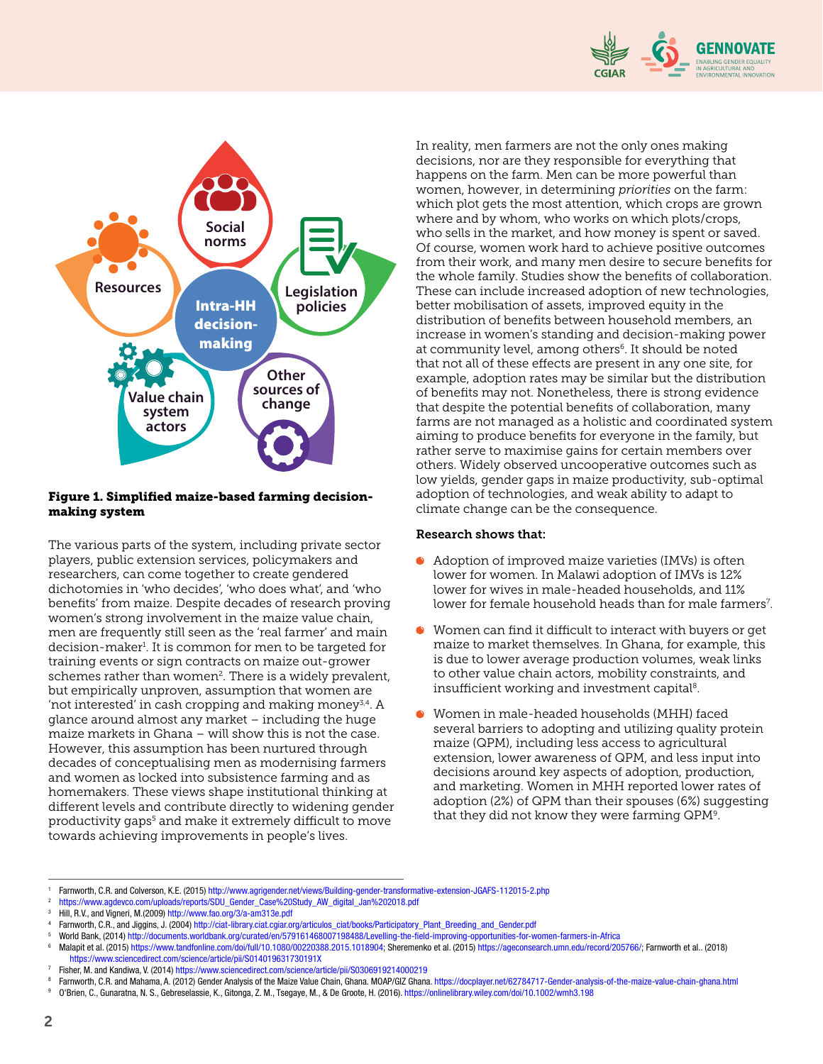



#### Figure 1. Simplified maize-based farming decisionmaking system

The various parts of the system, including private sector players, public extension services, policymakers and researchers, can come together to create gendered dichotomies in 'who decides', 'who does what', and 'who benefits' from maize. Despite decades of research proving women's strong involvement in the maize value chain, men are frequently still seen as the 'real farmer' and main decision-maker<sup>1</sup>. It is common for men to be targeted for training events or sign contracts on maize out-grower schemes rather than women<sup>2</sup>. There is a widely prevalent, but empirically unproven, assumption that women are 'not interested' in cash cropping and making money<sup>3,4</sup>. A glance around almost any market – including the huge maize markets in Ghana – will show this is not the case. However, this assumption has been nurtured through decades of conceptualising men as modernising farmers and women as locked into subsistence farming and as homemakers. These views shape institutional thinking at different levels and contribute directly to widening gender productivity gaps<sup>5</sup> and make it extremely difficult to move towards achieving improvements in people's lives.

In reality, men farmers are not the only ones making decisions, nor are they responsible for everything that happens on the farm. Men can be more powerful than women, however, in determining *priorities* on the farm: which plot gets the most attention, which crops are grown where and by whom, who works on which plots/crops, who sells in the market, and how money is spent or saved. Of course, women work hard to achieve positive outcomes from their work, and many men desire to secure benefits for the whole family. Studies show the benefits of collaboration. These can include increased adoption of new technologies, better mobilisation of assets, improved equity in the distribution of benefits between household members, an increase in women's standing and decision-making power at community level, among others<sup>6</sup>. It should be noted that not all of these effects are present in any one site, for example, adoption rates may be similar but the distribution of benefits may not. Nonetheless, there is strong evidence that despite the potential benefits of collaboration, many farms are not managed as a holistic and coordinated system aiming to produce benefits for everyone in the family, but rather serve to maximise gains for certain members over others. Widely observed uncooperative outcomes such as low yields, gender gaps in maize productivity, sub-optimal adoption of technologies, and weak ability to adapt to climate change can be the consequence.

#### Research shows that:

- Adoption of improved maize varieties (IMVs) is often lower for women. In Malawi adoption of IMVs is 12% lower for wives in male-headed households, and 11% lower for female household heads than for male farmers<sup>7</sup>.
- Women can find it difficult to interact with buyers or get maize to market themselves. In Ghana, for example, this is due to lower average production volumes, weak links to other value chain actors, mobility constraints, and insufficient working and investment capital $^8$ .
- Women in male-headed households (MHH) faced several barriers to adopting and utilizing quality protein maize (QPM), including less access to agricultural extension, lower awareness of QPM, and less input into decisions around key aspects of adoption, production, and marketing. Women in MHH reported lower rates of adoption (2%) of QPM than their spouses (6%) suggesting that they did not know they were farming QPM $^{\rm 9}$ .

<sup>1</sup> Farnworth, C.R. and Colverson, K.E. (2015) http://www.agrigender.net/views/Building-gender-transformative-extension-JGAFS-112015-2.php

<sup>2</sup> https://www.agdevco.com/uploads/reports/SDU\_Gender\_Case%20Study\_AW\_digital\_Jan%202018.pdf

Hill, R.V., and Vigneri, M.(2009) http://www.fao.org/3/a-am313e.pdf

<sup>4</sup> Farnworth, C.R., and Jiggins, J. (2004) http://ciat-library.ciat.cgiar.org/articulos\_ciat/books/Participatory\_Plant\_Breeding\_and\_Gender.pdf

<sup>5</sup> World Bank, (2014) http://documents.worldbank.org/curated/en/579161468007198488/Levelling-the-field-improving-opportunities-for-women-farmers-in-Africa

<sup>6</sup> Malapit et al. (2015) https://www.tandfonline.com/doi/full/10.1080/00220388.2015.1018904; Sheremenko et al. (2015) https://ageconsearch.umn.edu/record/205766/; Farnworth et al.. (2018)

https://www.sciencedirect.com/science/article/pii/S014019631730191X

<sup>7</sup> Fisher, M. and Kandiwa, V. (2014) https://www.sciencedirect.com/science/article/pii/S0306919214000219

<sup>8</sup> [Farnworth, C.R. and Mahama, A. \(2012\) Gender Analysis of the Maize Value Chain, Ghana. MOAP/GIZ Ghana](https://docplayer.net/62784717-Gender-analysis-of-the-maize-value-chain-ghana.html). https://docplayer.net/62784717-Gender-analysis-of-the-maize-value-chain-ghana.html

<sup>9</sup> O'Brien, C., Gunaratna, N. S., Gebreselassie, K., Gitonga, Z. M., Tsegaye, M., & De Groote, H. (2016). https://onlinelibrary.wiley.com/doi/10.1002/wmh3.198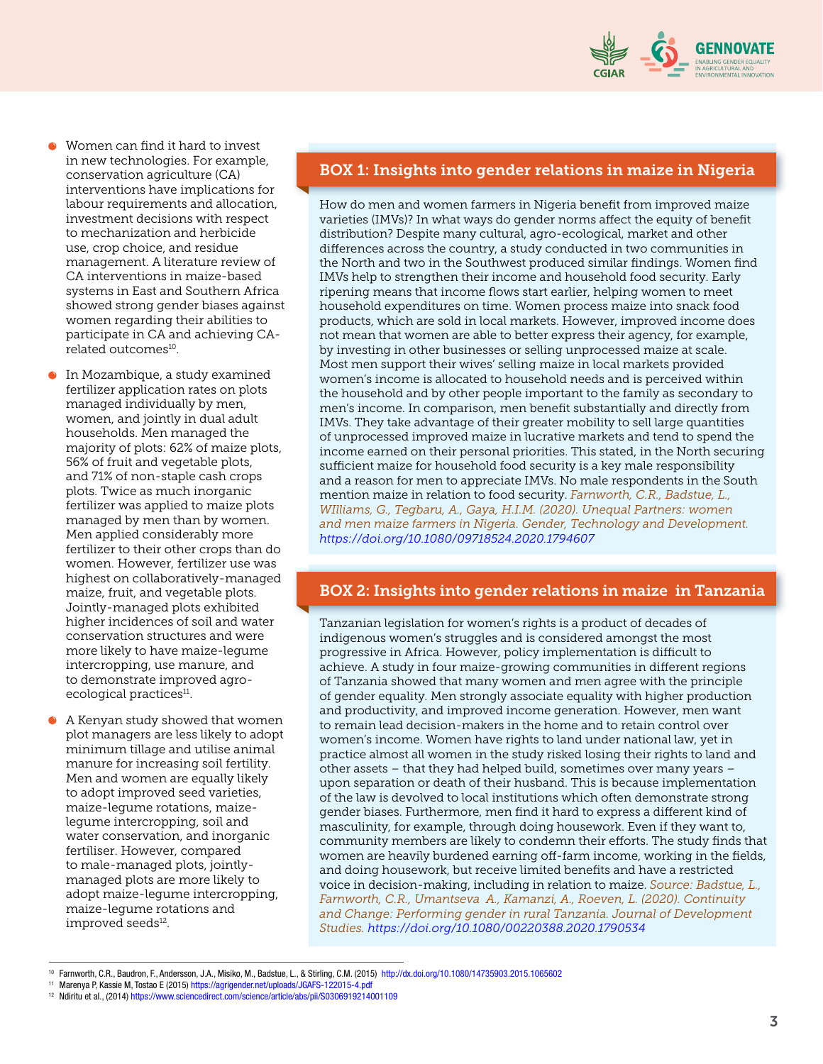

- Women can find it hard to invest in new technologies. For example, conservation agriculture (CA) interventions have implications for labour requirements and allocation, investment decisions with respect to mechanization and herbicide use, crop choice, and residue management. A literature review of CA interventions in maize-based systems in East and Southern Africa showed strong gender biases against women regarding their abilities to participate in CA and achieving CArelated outcomes $^{\rm 10}$ .
- **In Mozambique, a study examined** fertilizer application rates on plots managed individually by men, women, and jointly in dual adult households. Men managed the majority of plots: 62% of maize plots, 56% of fruit and vegetable plots, and 71% of non-staple cash crops plots. Twice as much inorganic fertilizer was applied to maize plots managed by men than by women. Men applied considerably more fertilizer to their other crops than do women. However, fertilizer use was highest on collaboratively-managed maize, fruit, and vegetable plots. Jointly-managed plots exhibited higher incidences of soil and water conservation structures and were more likely to have maize-legume intercropping, use manure, and to demonstrate improved agroecological practices<sup>11</sup>.
- A Kenyan study showed that women plot managers are less likely to adopt minimum tillage and utilise animal manure for increasing soil fertility. Men and women are equally likely to adopt improved seed varieties, maize-legume rotations, maizelegume intercropping, soil and water conservation, and inorganic fertiliser. However, compared to male-managed plots, jointlymanaged plots are more likely to adopt maize-legume intercropping, maize-legume rotations and improved seeds<sup>12</sup>.

#### BOX 1: Insights into gender relations in maize in Nigeria

How do men and women farmers in Nigeria benefit from improved maize varieties (IMVs)? In what ways do gender norms affect the equity of benefit distribution? Despite many cultural, agro-ecological, market and other differences across the country, a study conducted in two communities in the North and two in the Southwest produced similar findings. Women find IMVs help to strengthen their income and household food security. Early ripening means that income flows start earlier, helping women to meet household expenditures on time. Women process maize into snack food products, which are sold in local markets. However, improved income does not mean that women are able to better express their agency, for example, by investing in other businesses or selling unprocessed maize at scale. Most men support their wives' selling maize in local markets provided women's income is allocated to household needs and is perceived within the household and by other people important to the family as secondary to men's income. In comparison, men benefit substantially and directly from IMVs. They take advantage of their greater mobility to sell large quantities of unprocessed improved maize in lucrative markets and tend to spend the income earned on their personal priorities. This stated, in the North securing sufficient maize for household food security is a key male responsibility and a reason for men to appreciate IMVs. No male respondents in the South mention maize in relation to food security. *Farnworth, C.R., Badstue, L., WIlliams, G., Tegbaru, A., Gaya, H.I.M. (2020). Unequal Partners: women and men maize farmers in Nigeria. Gender, Technology and Development. https://doi.org/10.1080/09718524.2020.1794607* 

#### BOX 2: Insights into gender relations in maize in Tanzania

Tanzanian legislation for women's rights is a product of decades of indigenous women's struggles and is considered amongst the most progressive in Africa. However, policy implementation is difficult to achieve. A study in four maize-growing communities in different regions of Tanzania showed that many women and men agree with the principle of gender equality. Men strongly associate equality with higher production and productivity, and improved income generation. However, men want to remain lead decision-makers in the home and to retain control over women's income. Women have rights to land under national law, yet in practice almost all women in the study risked losing their rights to land and other assets – that they had helped build, sometimes over many years – upon separation or death of their husband. This is because implementation of the law is devolved to local institutions which often demonstrate strong gender biases. Furthermore, men find it hard to express a different kind of masculinity, for example, through doing housework. Even if they want to, community members are likely to condemn their efforts. The study finds that women are heavily burdened earning off-farm income, working in the fields, and doing housework, but receive limited benefits and have a restricted voice in decision-making, including in relation to maize. *Source: Badstue, L., Farnworth, C.R., Umantseva A., Kamanzi, A., Roeven, L. (2020). Continuity and Change: Performing gender in rural Tanzania. Journal of Development Studies. https://doi.org/10.1080/00220388.2020.1790534*

<sup>10</sup> Farnworth, C.R., Baudron, F., Andersson, J.A., Misiko, M., Badstue, L., & Stirling, C.M. (2015) http://dx.doi.org/10.1080/14735903.2015.1065602

<sup>11</sup> Marenya P, Kassie M, Tostao E (2015) https://agrigender.net/uploads/JGAFS-122015-4.pdf

<sup>12</sup> Ndiritu et al., (2014) https://www.sciencedirect.com/science/article/abs/pii/S0306919214001109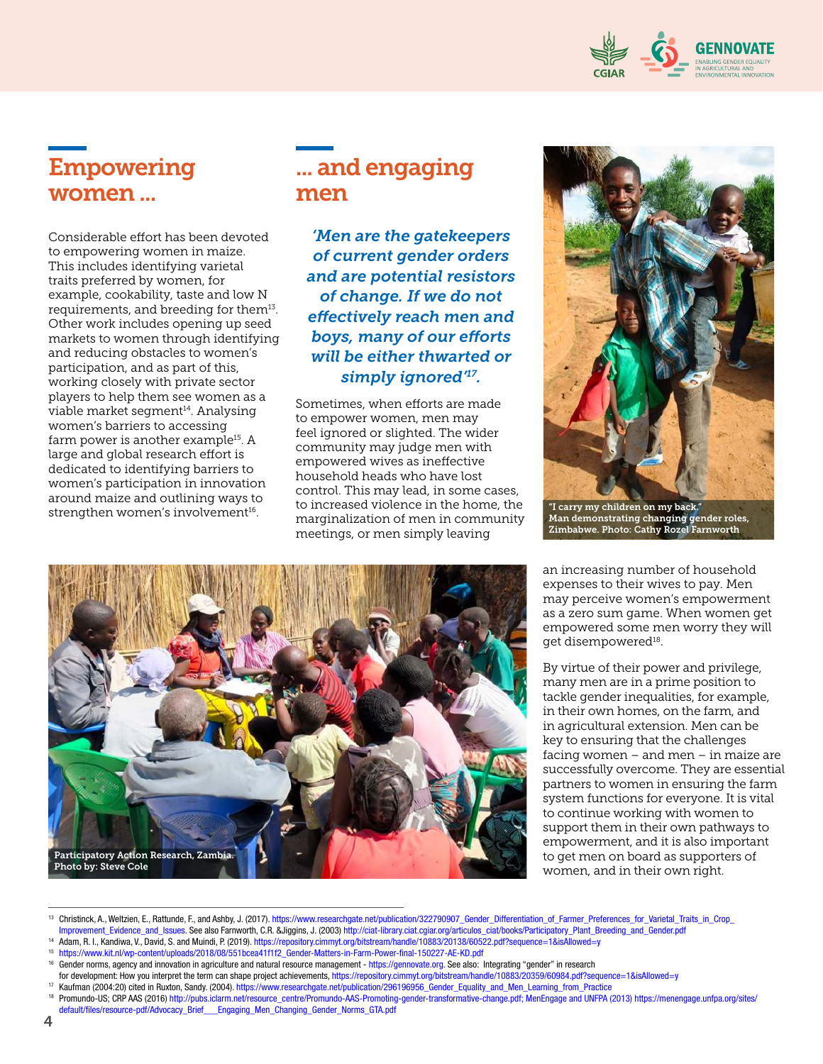

# Empowering women ...

Considerable effort has been devoted to empowering women in maize. This includes identifying varietal traits preferred by women, for example, cookability, taste and low N requirements, and breeding for them<sup>13</sup>. Other work includes opening up seed markets to women through identifying and reducing obstacles to women's participation, and as part of this, working closely with private sector players to help them see women as a viable market segment<sup>14</sup>. Analysing women's barriers to accessing farm power is another example<sup>15</sup>. A large and global research effort is dedicated to identifying barriers to women's participation in innovation around maize and outlining ways to strengthen women's involvement<sup>16</sup>.

# ... and engaging men

*'Men are the gatekeepers of current gender orders and are potential resistors of change. If we do not effectively reach men and boys, many of our efforts will be either thwarted or simply ignored'<sup>17</sup> .*

Sometimes, when efforts are made to empower women, men may feel ignored or slighted. The wider community may judge men with empowered wives as ineffective household heads who have lost control. This may lead, in some cases, to increased violence in the home, the marginalization of men in community meetings, or men simply leaving



"I carry my children on my back." Man demonstrating changing gender roles, Zimbabwe. Photo: Cathy Rozel Farnworth

an increasing number of household expenses to their wives to pay. Men may perceive women's empowerment as a zero sum game. When women get empowered some men worry they will get disempowered $^{\scriptscriptstyle 18}$ .

By virtue of their power and privilege, many men are in a prime position to tackle gender inequalities, for example, in their own homes, on the farm, and in agricultural extension. Men can be key to ensuring that the challenges facing women – and men – in maize are successfully overcome. They are essential partners to women in ensuring the farm system functions for everyone. It is vital to continue working with women to support them in their own pathways to empowerment, and it is also important to get men on board as supporters of women, and in their own right.



<sup>13</sup> Christinck, A., Weltzien, E., Rattunde, F., and Ashby, J. (2017). https://www.researchgate.net/publication/322790907\_Gender\_Differentiation\_of\_Farmer\_Preferences\_for\_Varietal\_Traits\_in\_Crop\_ Improvement\_Evidence\_and\_Issues. See also Farnworth, C.R. &Jiggins, J. (2003) http://ciat-library.ciat.cgiar.org/articulos\_ciat/books/Participatory\_Plant\_Breeding\_and\_Gender.pdf

- <sup>14</sup> [Adam, R. I., Kandiwa, V., David, S. and Muindi, P. \(2019\).](https://repository.cimmyt.org/bitstream/handle/10883/20138/60522.pdf?sequence=1&isAllowed=y) https://repository.cimmyt.org/bitstream/handle/10883/20138/60522.pdf?sequence=1&isAllowed=y
- <sup>15</sup> https://www.kit.nl/wp-content/uploads/2018/08/551bcea41f1f2\_Gender-Matters-in-Farm-Power-final-150227-AE-KD.pdf
- <sup>16</sup> Gender norms, agency and innovation in agriculture and natural resource management https://gennovate.org. See also: Integrating "gender" in research

<sup>17</sup> Kaufman (2004:20) cited in Ruxton, Sandy. (2004). https://www.researchgate.net/publication/296196956\_Gender\_Equality\_and\_Men\_Learning\_from\_Practice

for development: How you interpret the term can shape project achievements, https://repository.cimmyt.org/bitstream/handle/10883/20359/60984.pdf?sequence=1&isAllowed=y

<sup>18</sup> Promundo-US; CRP AAS (2016) http://pubs.iclarm.net/resource\_centre/Promundo-AAS-Promoting-gender-transformative-change.pdf; MenEngage and UNFPA (2013) https://menengage.unfpa.org/sites/ default/files/resource-pdf/Advocacy\_Brief\_\_\_Engaging\_Men\_Changing\_Gender\_Norms\_GTA.pdf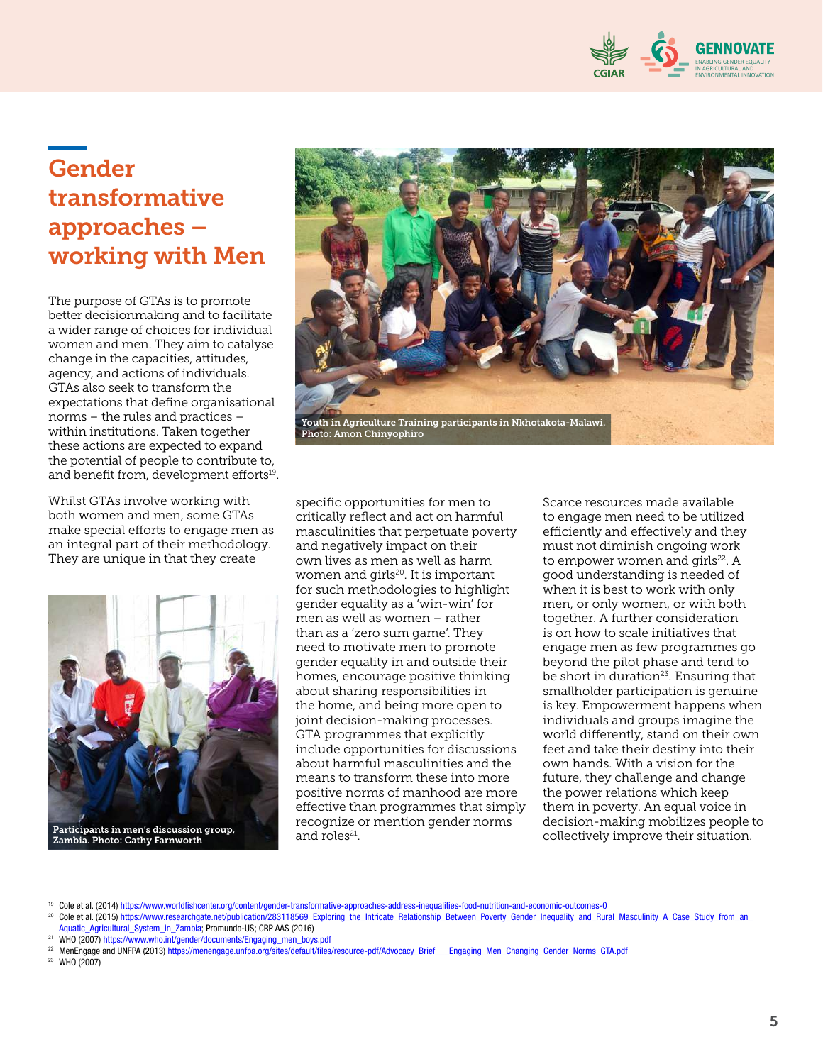

# Gender transformative approaches – working with Men

The purpose of GTAs is to promote better decisionmaking and to facilitate a wider range of choices for individual women and men. They aim to catalyse change in the capacities, attitudes, agency, and actions of individuals. GTAs also seek to transform the expectations that define organisational norms – the rules and practices – within institutions. Taken together these actions are expected to expand the potential of people to contribute to, and benefit from, development efforts<sup>19</sup>.

Whilst GTAs involve working with both women and men, some GTAs make special efforts to engage men as an integral part of their methodology. They are unique in that they create



Zambia. Photo: Cathy Farnworth



specific opportunities for men to critically reflect and act on harmful masculinities that perpetuate poverty and negatively impact on their own lives as men as well as harm women and girls<sup>20</sup>. It is important for such methodologies to highlight gender equality as a 'win-win' for men as well as women – rather than as a 'zero sum game'. They need to motivate men to promote gender equality in and outside their homes, encourage positive thinking about sharing responsibilities in the home, and being more open to joint decision-making processes. GTA programmes that explicitly include opportunities for discussions about harmful masculinities and the means to transform these into more positive norms of manhood are more effective than programmes that simply recognize or mention gender norms and roles<sup>21</sup>.

Scarce resources made available to engage men need to be utilized efficiently and effectively and they must not diminish ongoing work to empower women and girls<sup>22</sup>. A good understanding is needed of when it is best to work with only men, or only women, or with both together. A further consideration is on how to scale initiatives that engage men as few programmes go beyond the pilot phase and tend to be short in duration<sup>23</sup>. Ensuring that smallholder participation is genuine is key. Empowerment happens when individuals and groups imagine the world differently, stand on their own feet and take their destiny into their own hands. With a vision for the future, they challenge and change the power relations which keep them in poverty. An equal voice in decision-making mobilizes people to collectively improve their situation.

- <sup>21</sup> WHO (2007) https://www.who.int/gender/documents/Engaging\_men\_boys.pdf
- <sup>22</sup> MenEngage and UNFPA (2013) https://menengage.unfpa.org/sites/default/files/resource-pdf/Advocacy\_Brief\_\_\_Engaging\_Men\_Changing\_Gender\_Norms\_GTA.pdf

<sup>23</sup> WHO (2007)

<sup>19</sup> Cole et al. (2014) https://www.worldfishcenter.org/content/gender-transformative-approaches-address-inequalities-food-nutrition-and-economic-outcomes-0

Cole et al. (2015) https://www.researchgate.net/publication/283118569\_Exploring\_the\_Intricate\_Relationship\_Between\_Poverty\_Gender\_Inequality\_and\_Rural\_Masculinity\_A\_Case\_Study\_from\_an\_ Aquatic\_Agricultural\_System\_in\_Zambia; Promundo-US; CRP AAS (2016)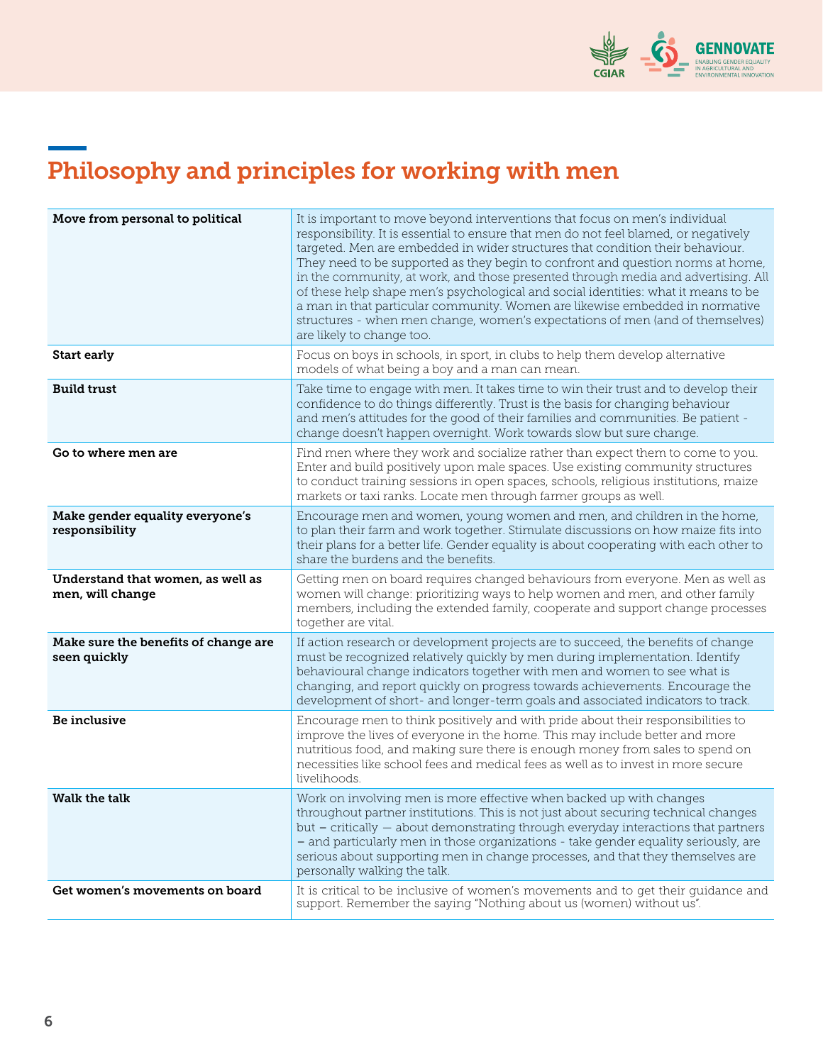

# Philosophy and principles for working with men

| Move from personal to political                       | It is important to move beyond interventions that focus on men's individual<br>responsibility. It is essential to ensure that men do not feel blamed, or negatively<br>targeted. Men are embedded in wider structures that condition their behaviour.<br>They need to be supported as they begin to confront and question norms at home,<br>in the community, at work, and those presented through media and advertising. All<br>of these help shape men's psychological and social identities: what it means to be<br>a man in that particular community. Women are likewise embedded in normative<br>structures - when men change, women's expectations of men (and of themselves)<br>are likely to change too. |
|-------------------------------------------------------|-------------------------------------------------------------------------------------------------------------------------------------------------------------------------------------------------------------------------------------------------------------------------------------------------------------------------------------------------------------------------------------------------------------------------------------------------------------------------------------------------------------------------------------------------------------------------------------------------------------------------------------------------------------------------------------------------------------------|
| Start early                                           | Focus on boys in schools, in sport, in clubs to help them develop alternative<br>models of what being a boy and a man can mean.                                                                                                                                                                                                                                                                                                                                                                                                                                                                                                                                                                                   |
| <b>Build trust</b>                                    | Take time to engage with men. It takes time to win their trust and to develop their<br>confidence to do things differently. Trust is the basis for changing behaviour<br>and men's attitudes for the good of their families and communities. Be patient -<br>change doesn't happen overnight. Work towards slow but sure change.                                                                                                                                                                                                                                                                                                                                                                                  |
| Go to where men are                                   | Find men where they work and socialize rather than expect them to come to you.<br>Enter and build positively upon male spaces. Use existing community structures<br>to conduct training sessions in open spaces, schools, religious institutions, maize<br>markets or taxi ranks. Locate men through farmer groups as well.                                                                                                                                                                                                                                                                                                                                                                                       |
| Make gender equality everyone's<br>responsibility     | Encourage men and women, young women and men, and children in the home,<br>to plan their farm and work together. Stimulate discussions on how maize fits into<br>their plans for a better life. Gender equality is about cooperating with each other to<br>share the burdens and the benefits.                                                                                                                                                                                                                                                                                                                                                                                                                    |
| Understand that women, as well as<br>men, will change | Getting men on board requires changed behaviours from everyone. Men as well as<br>women will change: prioritizing ways to help women and men, and other family<br>members, including the extended family, cooperate and support change processes<br>together are vital.                                                                                                                                                                                                                                                                                                                                                                                                                                           |
| Make sure the benefits of change are<br>seen quickly  | If action research or development projects are to succeed, the benefits of change<br>must be recognized relatively quickly by men during implementation. Identify<br>behavioural change indicators together with men and women to see what is<br>changing, and report quickly on progress towards achievements. Encourage the<br>development of short- and longer-term goals and associated indicators to track.                                                                                                                                                                                                                                                                                                  |
| Be inclusive                                          | Encourage men to think positively and with pride about their responsibilities to<br>improve the lives of everyone in the home. This may include better and more<br>nutritious food, and making sure there is enough money from sales to spend on<br>necessities like school fees and medical fees as well as to invest in more secure<br>livelihoods.                                                                                                                                                                                                                                                                                                                                                             |
| Walk the talk                                         | Work on involving men is more effective when backed up with changes<br>throughout partner institutions. This is not just about securing technical changes<br>but - critically - about demonstrating through everyday interactions that partners<br>- and particularly men in those organizations - take gender equality seriously, are<br>serious about supporting men in change processes, and that they themselves are<br>personally walking the talk.                                                                                                                                                                                                                                                          |
| Get women's movements on board                        | It is critical to be inclusive of women's movements and to get their guidance and<br>support. Remember the saying "Nothing about us (women) without us".                                                                                                                                                                                                                                                                                                                                                                                                                                                                                                                                                          |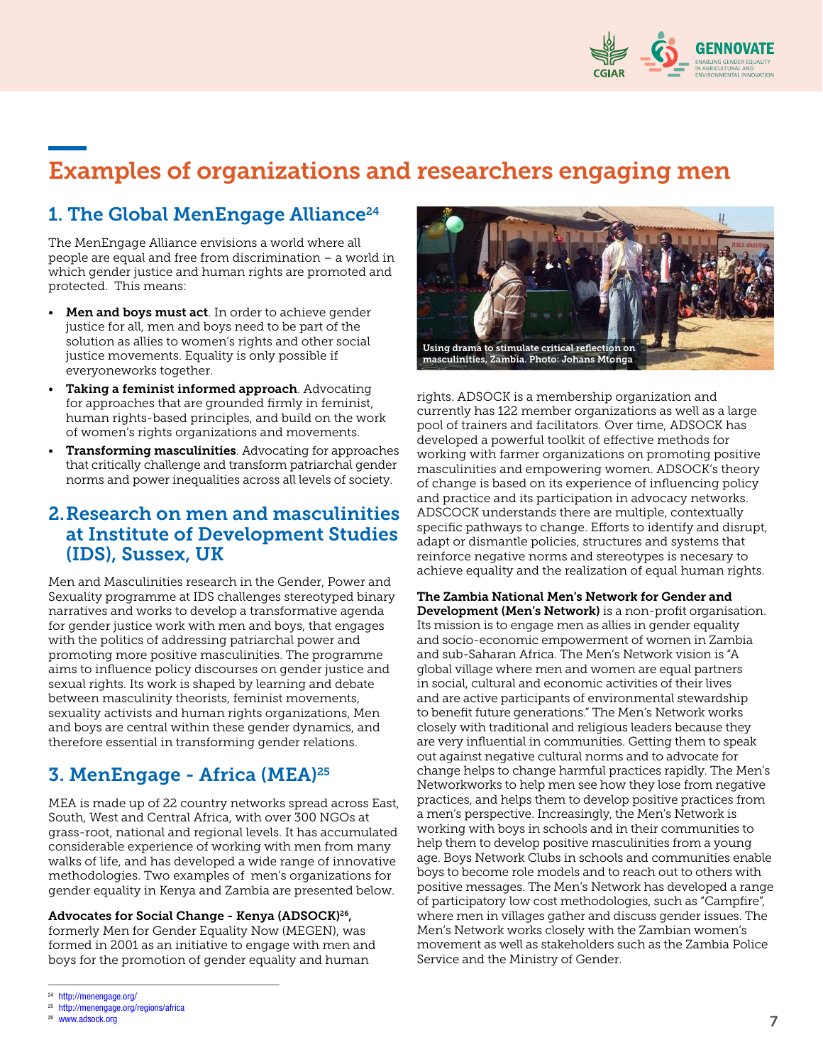

# Examples of organizations and researchers engaging men

## 1. The Global MenEngage Alliance<sup>24</sup>

The MenEngage Alliance envisions a world where all people are equal and free from discrimination – a world in which gender justice and human rights are promoted and protected. This means:

- Men and boys must act. In order to achieve gender justice for all, men and boys need to be part of the solution as allies to women's rights and other social justice movements. Equality is only possible if everyoneworks together.
- Taking a feminist informed approach. Advocating for approaches that are grounded firmly in feminist, human rights-based principles, and build on the work of women's rights organizations and movements.
- **Transforming masculinities**. Advocating for approaches that critically challenge and transform patriarchal gender norms and power inequalities across all levels of society.

### 2. Research on men and masculinities at Institute of Development Studies (IDS), Sussex, UK

Men and Masculinities research in the Gender, Power and Sexuality programme at IDS challenges stereotyped binary narratives and works to develop a transformative agenda for gender justice work with men and boys, that engages with the politics of addressing patriarchal power and promoting more positive masculinities. The programme aims to influence policy discourses on gender justice and sexual rights. Its work is shaped by learning and debate between masculinity theorists, feminist movements, sexuality activists and human rights organizations, Men and boys are central within these gender dynamics, and therefore essential in transforming gender relations.

## 3. MenEngage - Africa (MEA)<sup>25</sup>

MEA is made up of 22 country networks spread across East, South, West and Central Africa, with over 300 NGOs at grass-root, national and regional levels. It has accumulated considerable experience of working with men from many walks of life, and has developed a wide range of innovative methodologies. Two examples of men's organizations for gender equality in Kenya and Zambia are presented below.

#### Advocates for Social Change - Kenya (ADSOCK)<sup>26</sup> ,

formerly Men for Gender Equality Now (MEGEN), was formed in 2001 as an initiative to engage with men and boys for the promotion of gender equality and human



rights. ADSOCK is a membership organization and currently has 122 member organizations as well as a large pool of trainers and facilitators. Over time, ADSOCK has developed a powerful toolkit of effective methods for working with farmer organizations on promoting positive masculinities and empowering women. ADSOCK's theory of change is based on its experience of influencing policy and practice and its participation in advocacy networks. ADSCOCK understands there are multiple, contextually specific pathways to change. Efforts to identify and disrupt, adapt or dismantle policies, structures and systems that reinforce negative norms and stereotypes is necesary to achieve equality and the realization of equal human rights.

The Zambia National Men's Network for Gender and Development (Men's Network) is a non-profit organisation. Its mission is to engage men as allies in gender equality and socio-economic empowerment of women in Zambia and sub-Saharan Africa. The Men's Network vision is "A global village where men and women are equal partners in social, cultural and economic activities of their lives and are active participants of environmental stewardship to benefit future generations." The Men's Network works closely with traditional and religious leaders because they are very influential in communities. Getting them to speak out against negative cultural norms and to advocate for change helps to change harmful practices rapidly. The Men's Networkworks to help men see how they lose from negative practices, and helps them to develop positive practices from a men's perspective. Increasingly, the Men's Network is working with boys in schools and in their communities to help them to develop positive masculinities from a young age. Boys Network Clubs in schools and communities enable boys to become role models and to reach out to others with positive messages. The Men's Network has developed a range of participatory low cost methodologies, such as "Campfire", where men in villages gather and discuss gender issues. The Men's Network works closely with the Zambian women's movement as well as stakeholders such as the Zambia Police Service and the Ministry of Gender.

<sup>24</sup> http://menengage.org/

<sup>25</sup> http://menengage.org/regions/africa

<sup>26</sup> www.adsock.org